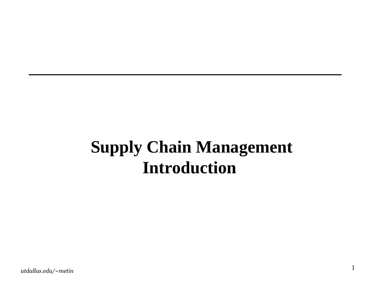### **Supply Chain Management Introduction**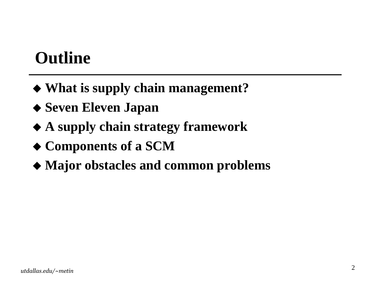### **Outline**

- **What is supply chain management?**
- **Seven Eleven Japan**
- **A supply chain strategy framework**
- **Components of <sup>a</sup> SCM**
- **Major obstacles and common problems**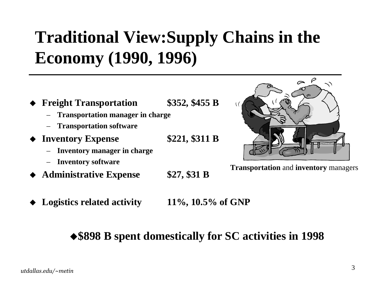## **Traditional View:Supply Chains in the Economy (1990, 1996)**

- ♦ **Freight Transportation \$352, \$455 B**
	- **Transportation manager in charge**
	- **Transportation software**
- ♦ **Inventory Expense \$221, \$311 B**
	- **Inventory manager in charge**
	- –**Inventory software**
- ♦ **Administrative Expense \$27, \$31 B**
- 



 $\curvearrowright$   $\rho$ 

♦ **Logistics related activity 11%, 10.5% of GNP**

#### **\$898 B spent domestically for SC activities in 1998**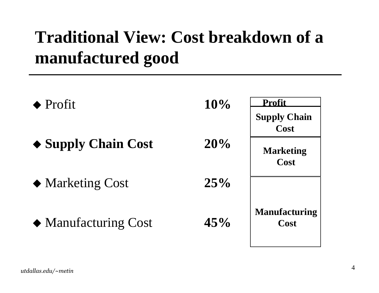## **Traditional View: Cost breakdown of <sup>a</sup> manufactured good**

| $\blacklozenge$ Profit             | 10% | <b>Profit</b>                |
|------------------------------------|-----|------------------------------|
|                                    |     | <b>Supply Chain</b><br>Cost  |
| $\triangle$ Supply Chain Cost      | 20% | <b>Marketing</b><br>Cost     |
| ◆ Marketing Cost                   | 25% |                              |
| $\blacklozenge$ Manufacturing Cost | 45% | <b>Manufacturing</b><br>Cost |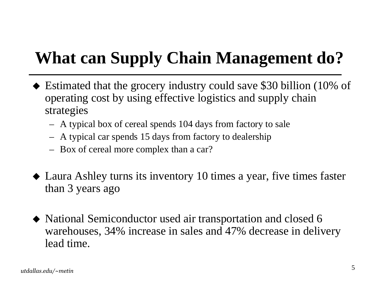## **What can Supply Chain Management do?**

- Estimated that the grocery industry could save \$30 billion (10% of operating cost by using effective logistics and supply chain strategies
	- A typical box of cereal spends 104 days from factory to sale
	- A typical car spends 15 days from factory to dealership
	- Box of cereal more complex than <sup>a</sup> car?
- Laura Ashley turns its inventory 10 times <sup>a</sup> year, five times faster than 3 years ago
- National Semiconductor used air transportation and closed 6 warehouses, 34% increase in sales and 47% decrease in delivery lead time.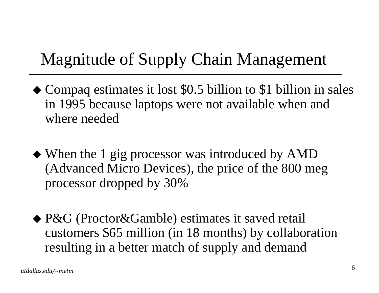## Magnitude of Supply Chain Management

- Compaq estimates it lost \$0.5 billion to \$1 billion in sales in 1995 because laptops were not available when and where needed
- When the 1 gig processor was introduced by AMD (Advanced Micro Devices), the price of the 800 meg processor dropped by 30%
- ◆ P&G (Proctor&Gamble) estimates it saved retail customers \$65 million (in 18 months) by collaboration resulting in <sup>a</sup> better match of supply and demand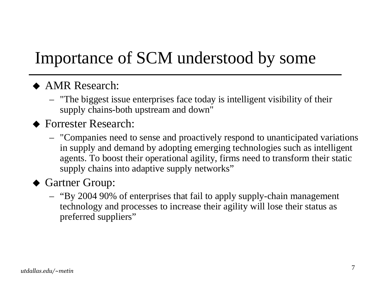## Importance of SCM understood by some

#### ◆ AMR Research:

– "The biggest issue enterprises face today is intelligent visibility of their supply chains-both upstream and down"

#### ◆ Forrester Research:

– "Companies need to sense and proactively respond to unanticipated variations in supply and demand by adopting emerging technologies such as intelligent agents. To boost their operational agility, firms need to transform their static supply chains into adaptive supply networks"

#### Gartner Group:

– "By 2004 90% of enterprises that fail to apply supply-chain managemen<sup>t</sup> technology and processes to increase their agility will lose their status as preferred suppliers"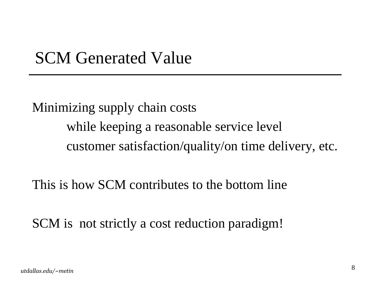### SCM Generated Value

Minimizing supply chain costs while keeping <sup>a</sup> reasonable service level customer satisfaction/quality/on time delivery, etc.

This is how SCM contributes to the bottom line

SCM is not strictly <sup>a</sup> cost reduction paradigm!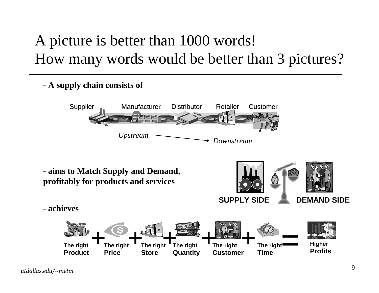### A picture is better than 1000 words! How many words would be better than 3 pictures?

**- A supply chain consists of**



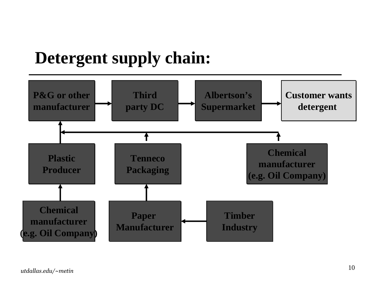### **Detergent supply chain:**

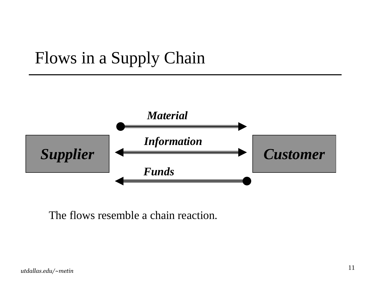### Flows in <sup>a</sup> Supply Chain



The flows resemble <sup>a</sup> chain reaction.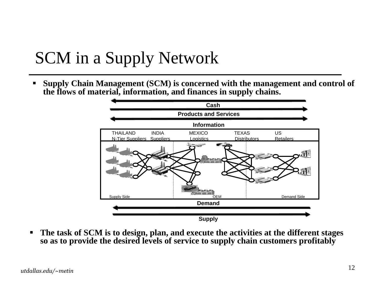### SCM in <sup>a</sup> Supply Network

 $\blacksquare$  **Supply Chain Management (SCM) is concerned with the management and control of the flows of material, information, and finances in supply chains.**



 $\blacksquare$  **The task of SCM is to design, plan, and execute the activities at the different stages so as to provide the desired levels of service to supply chain customers profitably**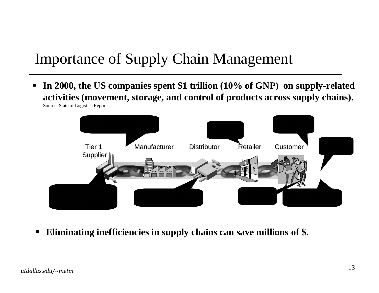### Importance of Supply Chain Management

 $\blacksquare$  **In 2000, the US companies spent \$1 trillion (10% of GNP) on supply-related activities (movement, storage, and control of products across supply chains).**





 $\blacksquare$ **Eliminating inefficiencies in supply chains can save millions of \$.**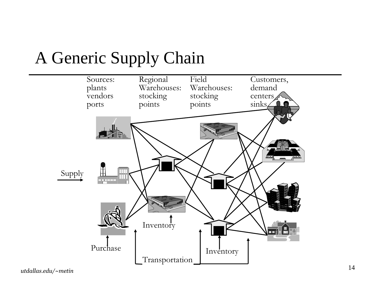

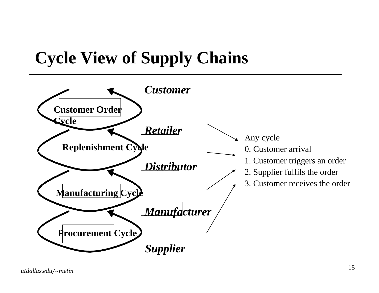## **Cycle View of Supply Chains**

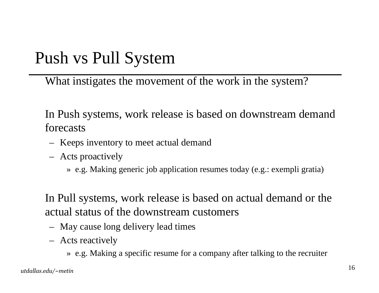### Push vs Pull System

What instigates the movement of the work in the system?

In Push systems, work release is based on downstream demand forecasts

- Keeps inventory to meet actual demand
- Acts proactively

» e.g. Making generic job application resumes today (e.g.: exempli gratia)

In Pull systems, work release is based on actual demand or the actual status of the downstream customers

- May cause long delivery lead times
- Acts reactively

» e.g. Making <sup>a</sup> specific resume for <sup>a</sup> company after talking to the recruiter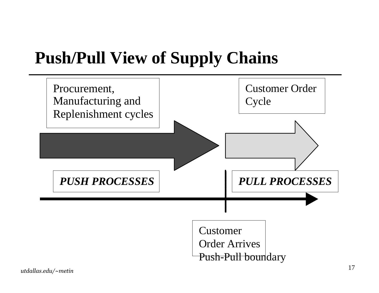### **Push/Pull View of Supply Chains**

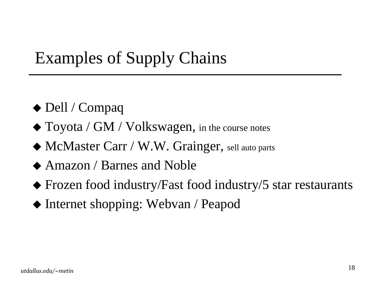### Examples of Supply Chains

- ◆ Dell / Compaq
- $\blacklozenge$  Toyota / GM / Volkswagen, in the course notes
- McMaster Carr / W.W. Grainger, sell auto parts
- ◆ Amazon / Barnes and Noble
- Frozen food industry/Fast food industry/5 star restaurants
- ◆ Internet shopping: Webvan / Peapod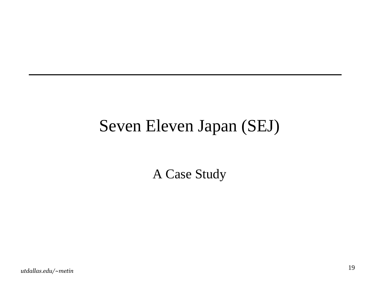### Seven Eleven Japan (SEJ)

A Case Study

utdallas.edu/~metin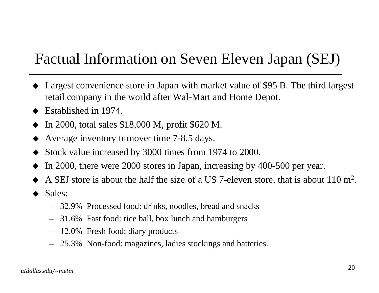#### Factual Information on Seven Eleven Japan (SEJ)

- Largest convenience store in Japan with market value of \$95 B. The third largest retail company in the world after Wal-Mart and Home Depot.
- $\blacklozenge$  Established in 1974.
- ♦ In 2000, total sales \$18,000 M, profit \$620 M.
- ♦ Average inventory turnover time 7-8.5 days.
- ♦ Stock value increased by 3000 times from 1974 to 2000.
- ♦ In 2000, there were 2000 stores in Japan, increasing by 400-500 per year.
- ♦ A SEJ store is about the half the size of <sup>a</sup> US 7-eleven store, that is about 110 <sup>m</sup>2.
- ♦ Sales:
	- 32.9% Processed food: drinks, noodles, bread and snacks
	- 31.6% Fast food: rice ball, box lunch and hamburgers
	- 12.0% Fresh food: diary products
	- 25.3% Non-food: magazines, ladies stockings and batteries.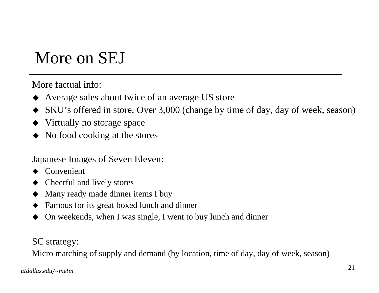### More on SEJ

More factual info:

- ♦ Average sales about twice of an average US store
- ♦ SKU's offered in store: Over 3,000 (change by time of day, day of week, season)
- Virtually no storage space
- ♦ No food cooking at the stores

Japanese Images of Seven Eleven:

- ♦ Convenient
- ♦ Cheerful and lively stores
- ♦ Many ready made dinner items I buy
- ♦ Famous for its grea<sup>t</sup> boxed lunch and dinner
- ♦ On weekends, when I was single, I went to buy lunch and dinner

SC strategy:

Micro matching of supply and demand (by location, time of day, day of week, season)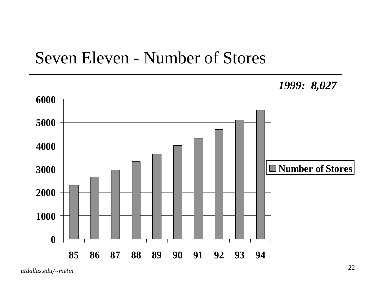#### Seven Eleven - Number of Stores

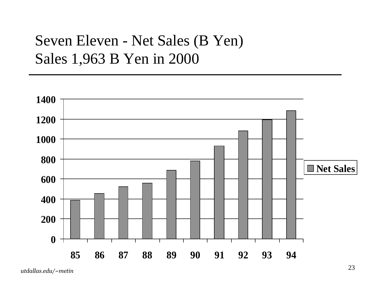#### Seven Eleven - Net Sales (B Yen) Sales 1,963 B Yen in 2000

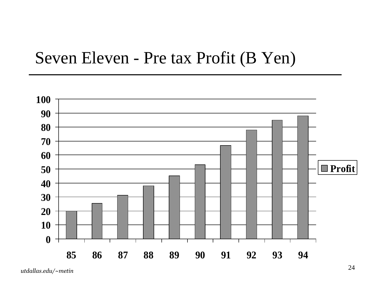#### Seven Eleven - Pre tax Profit (B Yen)

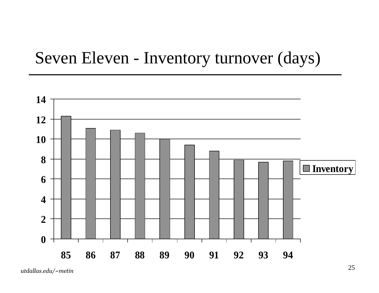### Seven Eleven - Inventory turnover (days)

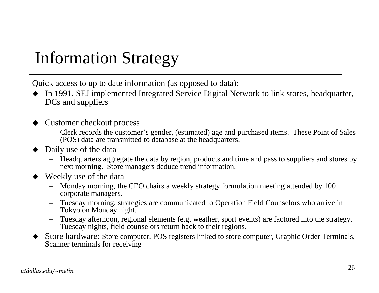### Information Strategy

Quick access to up to date information (as opposed to data):

- In 1991, SEJ implemented Integrated Service Digital Network to link stores, headquarter, DCs and suppliers
- ♦ Customer checkout process
	- – Clerk records the customer's gender, (estimated) age and purchased items. These Point of Sales (POS) data are transmitted to database at the headquarters.
- Daily use of the data
	- Headquarters aggregate the data by region, products and time and pass to suppliers and stores by next morning. Store managers deduce trend information.
- ♦ Weekly use of the data
	- Monday morning, the CEO chairs <sup>a</sup> weekly strategy formulation meeting attended by 100 corporate managers.
	- Tuesday morning, strategies are communicated to Operation Field Counselors who arrive in Tokyo on Monday night.
	- Tuesday afternoon, regional elements (e.g. weather, spor<sup>t</sup> events) are factored into the strategy. Tuesday nights, field counselors return back to their regions.
- ♦ Store hardware: Store computer, POS registers linked to store computer, Graphic Order Terminals, Scanner terminals for receiving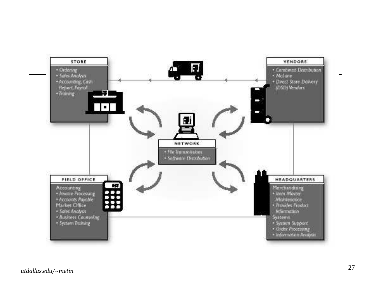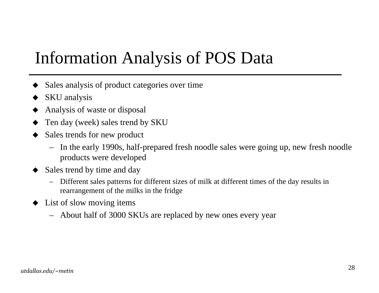### Information Analysis of POS Data

- ♦ Sales analysis of product categories over time
- ♦ SKU analysis
- ♦ Analysis of waste or disposal
- ♦ Ten day (week) sales trend by SKU
- ♦ Sales trends for new product
	- In the early 1990s, half-prepared fresh noodle sales were going up, new fresh noodle products were developed
- ♦ Sales trend by time and day
	- – Different sales patterns for different sizes of milk at different times of the day results in rearrangemen<sup>t</sup> of the milks in the fridge
- List of slow moving items
	- About half of 3000 SKUs are replaced by new ones every year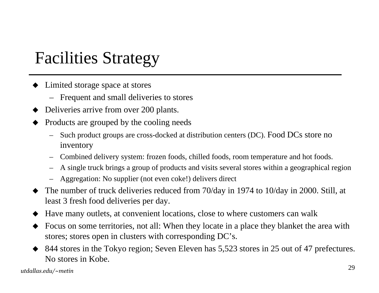### Facilities Strategy

- Limited storage space at stores
	- Frequent and small deliveries to stores
- ♦ Deliveries arrive from over 200 plants.
- ♦ Products are grouped by the cooling needs
	- Such product groups are cross-docked at distribution centers (DC). Food DCs store no inventory
	- –Combined delivery system: frozen foods, chilled foods, room temperature and hot foods.
	- –A single truck brings <sup>a</sup> group of products and visits several stores within <sup>a</sup> geographical region
	- Aggregation: No supplier (not even coke!) delivers direct
- ♦ The number of truck deliveries reduced from 70/day in 1974 to 10/day in 2000. Still, at least 3 fresh food deliveries per day.
- ♦ Have many outlets, at convenient locations, close to where customers can walk
- ♦ Focus on some territories, not all: When they locate in <sup>a</sup> place they blanket the area with stores; stores open in clusters with corresponding DC's.
- ♦ 844 stores in the Tokyo region; Seven Eleven has 5,523 stores in 25 out of 47 prefectures. No stores in Kobe.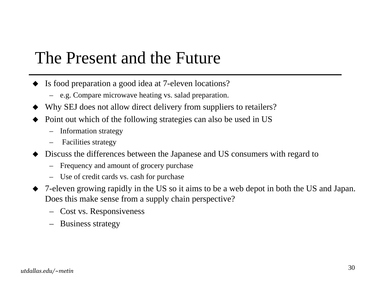### The Present and the Future

- Is food preparation a good idea at 7-eleven locations?
	- e.g. Compare microwave heating vs. salad preparation.
- ♦ Why SEJ does not allow direct delivery from suppliers to retailers?
- ♦ Point out which of the following strategies can also be used in US
	- Information strategy
	- –Facilities strategy
- ♦ Discuss the differences between the Japanese and US consumers with regard to
	- –Frequency and amount of grocery purchase
	- Use of credit cards vs. cash for purchase
- ♦ 7-eleven growing rapidly in the US so it aims to be <sup>a</sup> web depot in both the US and Japan. Does this make sense from <sup>a</sup> supply chain perspective?
	- Cost vs. Responsiveness
	- Business strategy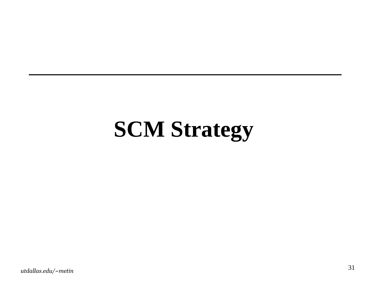# **SCM Strategy**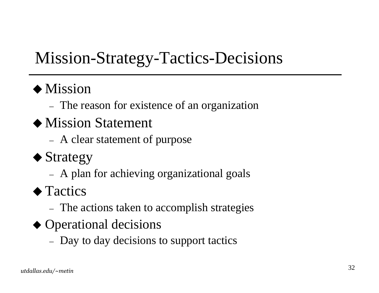### Mission-Strategy-Tactics-Decisions

#### $\blacklozenge$  Mission

- The reason for existence of an organization
- $\bullet$  Mission Statement
	- A clear statement of purpose
- $\blacklozenge$  Strategy
	- A plan for achieving organizational goals
- $\blacklozenge$  Tactics
	- The actions taken to accomplish strategies
- $\triangle$  Operational decisions
	- Day to day decisions to support tactics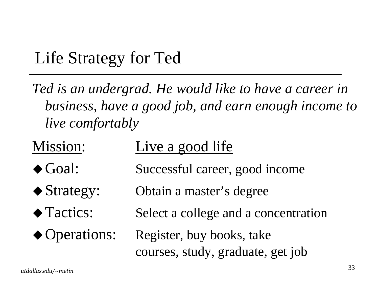### Life Strategy for Ted

*Ted is an undergrad. He would like to have <sup>a</sup> career in business, have <sup>a</sup> good job, and earn enough income to live comfortably*

| Mission:                  | Live a good life                     |  |
|---------------------------|--------------------------------------|--|
| $\blacklozenge$ Goal:     | Successful career, good income       |  |
| $\blacklozenge$ Strategy: | Obtain a master's degree             |  |
| ◆ Tactics:                | Select a college and a concentration |  |
| ◆ Operations:             | Register, buy books, take            |  |
|                           | courses, study, graduate, get job    |  |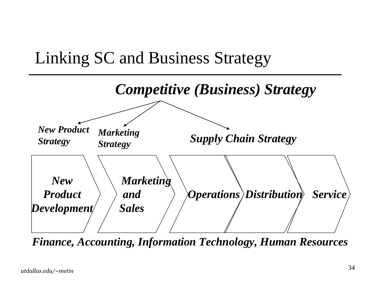



*Finance, Accounting, Information Technology, Human Resources*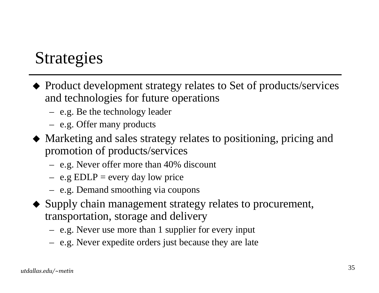### Strategies

- Product development strategy relates to Set of products/services and technologies for future operations
	- e.g. Be the technology leader
	- e.g. Offer many products
- Marketing and sales strategy relates to positioning, pricing and promotion of products/services
	- e.g. Never offer more than 40% discount
	- $-$  e.g EDLP = every day low price
	- e.g. Demand smoothing via coupons
- Supply chain managemen<sup>t</sup> strategy relates to procurement, transportation, storage and delivery
	- e.g. Never use more than 1 supplier for every input
	- e.g. Never expedite orders just because they are late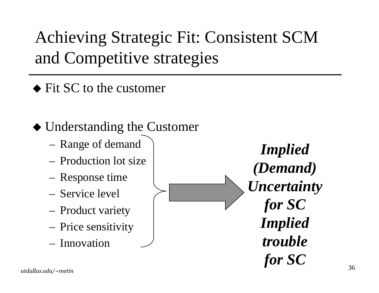Achieving Strategic Fit: Consistent SCM and Competitive strategies

• Fit SC to the customer

Understanding the Customer

- Range of demand
- Production lot size
- Response time
- Service level
- Product variety
- Price sensitivity
- Innovation

*Implied (Demand) Uncertainty for SC Implied troublefor SC*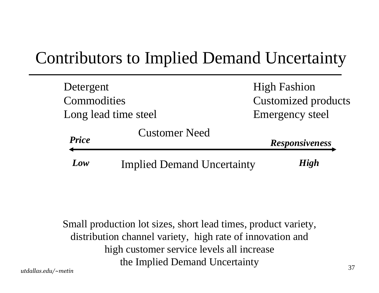### Contributors to Implied Demand Uncertainty

| Detergent    |                                   | <b>High Fashion</b>        |
|--------------|-----------------------------------|----------------------------|
| Commodities  |                                   | <b>Customized products</b> |
|              | Long lead time steel              | <b>Emergency steel</b>     |
| <b>Price</b> | <b>Customer Need</b>              | <b>Responsiveness</b>      |
| Low          | <b>Implied Demand Uncertainty</b> | <b>High</b>                |

Small production lot sizes, short lead times, product variety, distribution channel variety, high rate of innovation and high customer service levels all increase the Implied Demand Uncertainty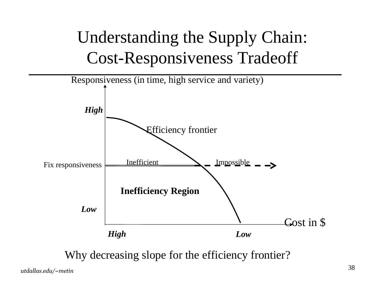## Understanding the Supply Chain: **Cost-Responsiveness Tradeoff**



Why decreasing slope for the efficiency frontier?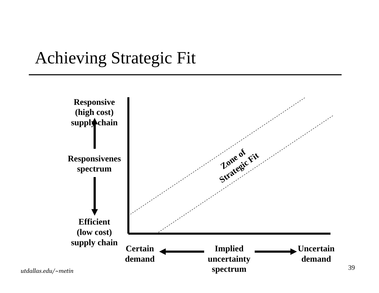### Achieving Strategic Fit

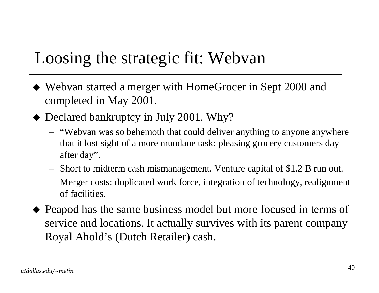### Loosing the strategic fit: Webvan

- Webvan started <sup>a</sup> merger with HomeGrocer in Sept 2000 and completed in May 2001.
- ◆ Declared bankruptcy in July 2001. Why?
	- "Webvan was so behemoth that could deliver anything to anyone anywhere that it lost sight of <sup>a</sup> more mundane task: pleasing grocery customers day after day".
	- Short to midterm cash mismanagement. Venture capital of \$1.2 B run out.
	- – Merger costs: duplicated work force, integration of technology, realignment of facilities.
- Peapod has the same business model but more focused in terms of service and locations. It actually survives with its paren<sup>t</sup> company Royal Ahold's (Dutch Retailer) cash.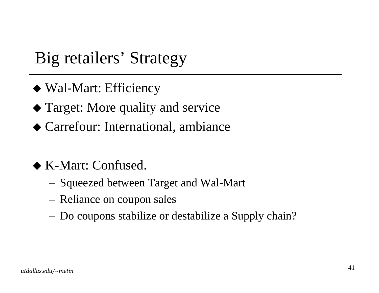### Big retailers' Strategy

- Wal-Mart: Efficiency
- Target: More quality and service
- Carrefour: International, ambiance
- K-Mart: Confused.
	- Squeezed between Target and Wal-Mart
	- Reliance on coupon sales
	- Do coupons stabilize or destabilize <sup>a</sup> Supply chain?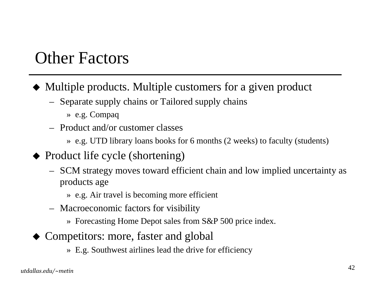### Other Factors

- Multiple products. Multiple customers for <sup>a</sup> given product
	- Separate supply chains or Tailored supply chains
		- » e.g. Compaq
	- Product and/or customer classes
		- » e.g. UTD library loans books for 6 months (2 weeks) to faculty (students)
- Product life cycle (shortening)
	- SCM strategy moves toward efficient chain and low implied uncertainty as products age
		- » e.g. Air travel is becoming more efficient
	- Macroeconomic factors for visibility
		- » Forecasting Home Depot sales from S&P 500 price index.
- Competitors: more, faster and global
	- » E.g. Southwest airlines lead the drive for efficiency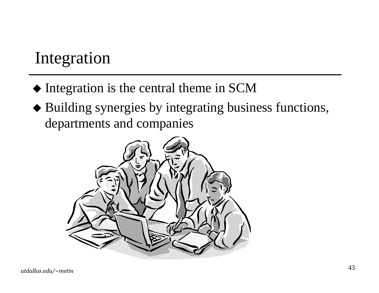### Integration

- Integration is the central theme in SCM
- Building synergies by integrating business functions, departments and companies

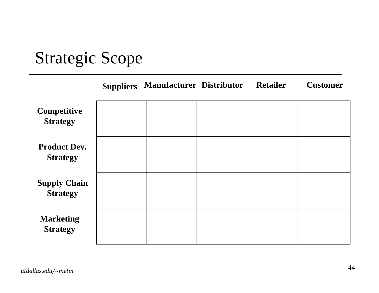### Strategic Scope

|                                        | <b>Suppliers</b> | <b>Manufacturer Distributor</b> | <b>Retailer</b> | <b>Customer</b> |
|----------------------------------------|------------------|---------------------------------|-----------------|-----------------|
| Competitive<br><b>Strategy</b>         |                  |                                 |                 |                 |
| <b>Product Dev.</b><br><b>Strategy</b> |                  |                                 |                 |                 |
| <b>Supply Chain</b><br><b>Strategy</b> |                  |                                 |                 |                 |
| <b>Marketing</b><br><b>Strategy</b>    |                  |                                 |                 |                 |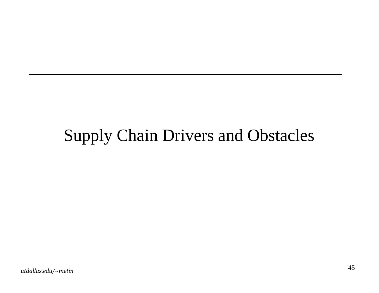### **Supply Chain Drivers and Obstacles**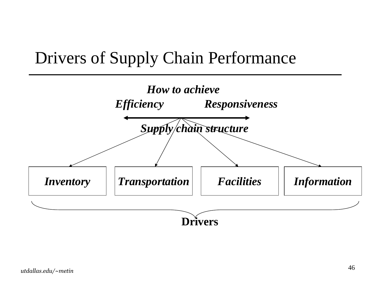### Drivers of Supply Chain Performance

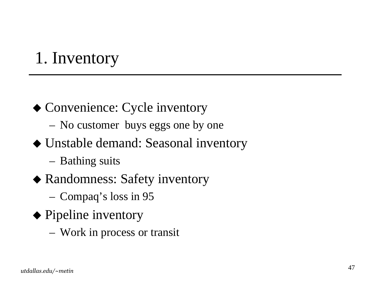### 1. Inventory

- Convenience: Cycle inventory
	- No customer buys eggs one by one
- Unstable demand: Seasonal inventory
	- Bathing suits
- Randomness: Safety inventory
	- Compaq's loss in 95
- ◆ Pipeline inventory
	- Work in process or transit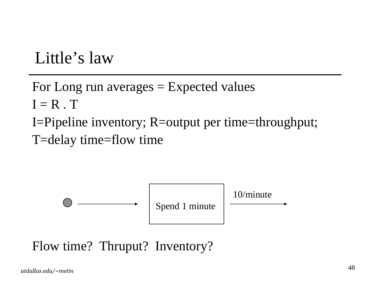### Little's law

For Long run averages <sup>=</sup> Expected values  $\boldsymbol{\mathrm{I}} = \boldsymbol{\mathrm{R}}$  .  $\boldsymbol{\mathrm{T}}$ I=Pipeline inventory; R=output per time=throughput; T=delay time=flow time



Flow time? Thruput? Inventory?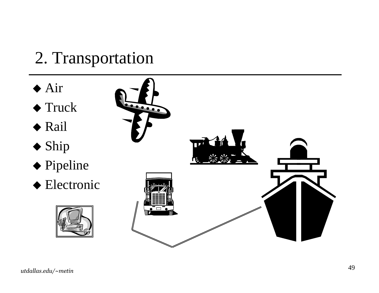### 2. Transportation

- $\blacklozenge$  Air
- $\blacklozenge$  Truck
- $\blacklozenge$  Rail
- $\blacklozenge$  Ship
- ◆ Pipeline
- ◆ Electronic



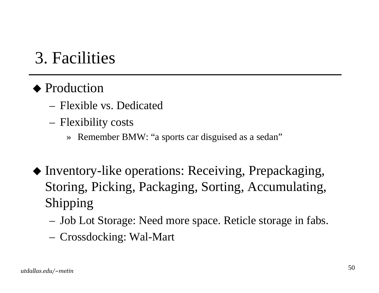### 3. Facilities

#### ◆ Production

- Flexible vs. Dedicated
- Flexibility costs
	- » Remember BMW: "a sports car disguised as <sup>a</sup> sedan"
- Inventory-like operations: Receiving, Prepackaging, Storing, Picking, Packaging, Sorting, Accumulating, Shipping
	- Job Lot Storage: Need more space. Reticle storage in fabs.
	- Crossdocking: Wal-Mart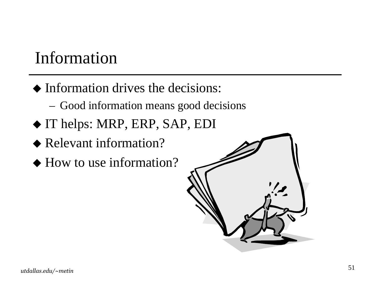### Information

- Information drives the decisions:
	- Good information means good decisions
- IT helps: MRP, ERP, SAP, EDI
- ◆ Relevant information?
- How to use information?

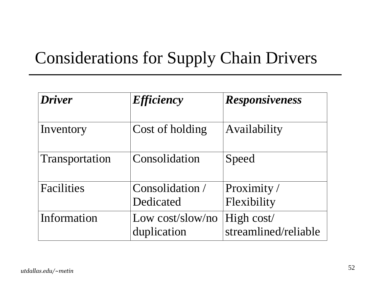### Considerations for Supply Chain Drivers

| <b>Driver</b>  | <i><b>Efficiency</b></i>        | <b>Responsiveness</b>              |
|----------------|---------------------------------|------------------------------------|
| Inventory      | Cost of holding                 | Availability                       |
| Transportation | Consolidation                   | Speed                              |
| Facilities     | Consolidation /                 | Proximity /                        |
|                | Dedicated                       | Flexibility                        |
| Information    | Low cost/slow/no<br>duplication | High cost/<br>streamlined/reliable |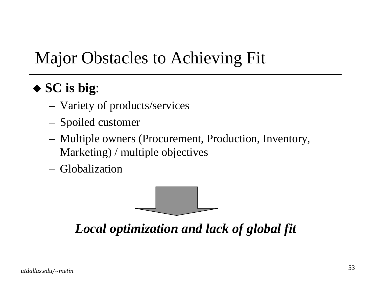### Major Obstacles to Achieving Fit

#### **SC is big**:

- Variety of products/services
- Spoiled customer
- Multiple owners (Procurement, Production, Inventory, Marketing) / multiple objectives
- Globalization



*Local optimization and lack of global fit*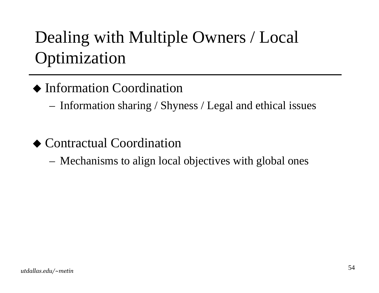## Dealing with Multiple Owners / Local **Optimization**

#### ◆ Information Coordination

- Information sharing / Shyness / Legal and ethical issues

◆ Contractual Coordination

Mechanisms to align local objectives with global ones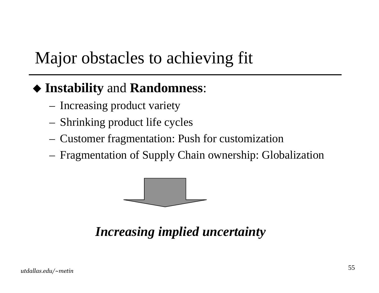### Major obstacles to achieving fit

#### ◆ Instability and Randomness:

- Increasing product variety
- Shrinking product life cycles
- Customer fragmentation: Push for customization
- Fragmentation of Supply Chain ownership: Globalization



Increasing implied uncertainty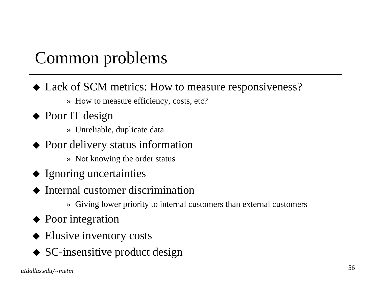### Common problems

- Lack of SCM metrics: How to measure responsiveness?
	- » How to measure efficiency, costs, etc?
- ◆ Poor IT design
	- » Unreliable, duplicate data
- Poor delivery status information
	- » Not knowing the order status
- Ignoring uncertainties
- ♦ Internal customer discrimination
	- » Giving lower priority to internal customers than external customers
- Poor integration
- ◆ Elusive inventory costs
- ◆ SC-insensitive product design